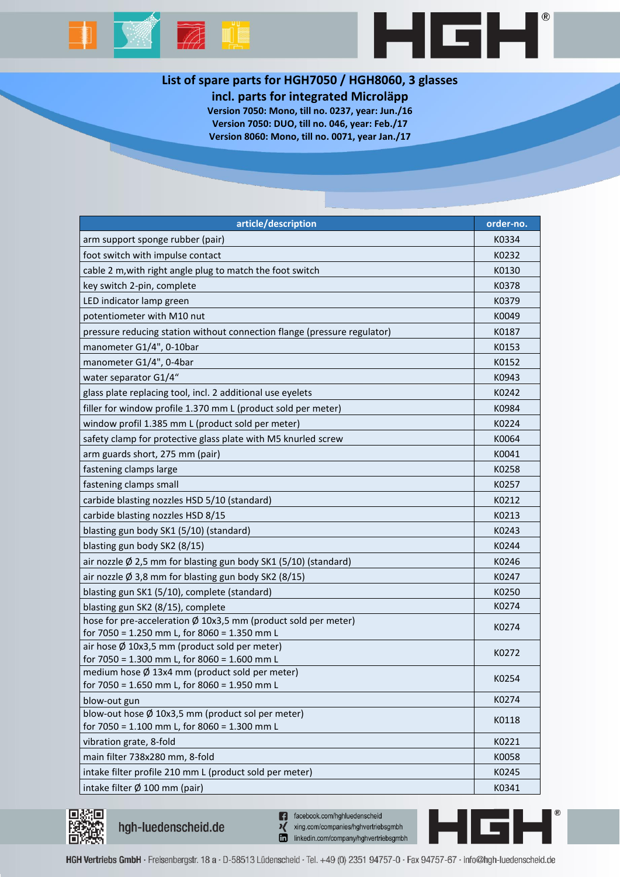



## **List of spare parts for HGH7050 / HGH8060, 3 glasses**

**incl. parts for integrated Microläpp**

**Version 7050: Mono, till no. 0237, year: Jun./16 Version 7050: DUO, till no. 046, year: Feb./17 Version 8060: Mono, till no. 0071, year Jan./17**

| article/description                                                                           | order-no. |
|-----------------------------------------------------------------------------------------------|-----------|
| arm support sponge rubber (pair)                                                              | K0334     |
| foot switch with impulse contact                                                              | K0232     |
| cable 2 m, with right angle plug to match the foot switch                                     | K0130     |
| key switch 2-pin, complete                                                                    | K0378     |
| LED indicator lamp green                                                                      | K0379     |
| potentiometer with M10 nut                                                                    | K0049     |
| pressure reducing station without connection flange (pressure regulator)                      | K0187     |
| manometer G1/4", 0-10bar                                                                      | K0153     |
| manometer G1/4", 0-4bar                                                                       | K0152     |
| water separator G1/4"                                                                         | K0943     |
| glass plate replacing tool, incl. 2 additional use eyelets                                    | K0242     |
| filler for window profile 1.370 mm L (product sold per meter)                                 | K0984     |
| window profil 1.385 mm L (product sold per meter)                                             | K0224     |
| safety clamp for protective glass plate with M5 knurled screw                                 | K0064     |
| arm guards short, 275 mm (pair)                                                               | K0041     |
| fastening clamps large                                                                        | K0258     |
| fastening clamps small                                                                        | K0257     |
| carbide blasting nozzles HSD 5/10 (standard)                                                  | K0212     |
| carbide blasting nozzles HSD 8/15                                                             | K0213     |
| blasting gun body SK1 (5/10) (standard)                                                       | K0243     |
| blasting gun body SK2 (8/15)                                                                  | K0244     |
| air nozzle Ø 2,5 mm for blasting gun body SK1 (5/10) (standard)                               | K0246     |
| air nozzle Ø 3,8 mm for blasting gun body SK2 (8/15)                                          | K0247     |
| blasting gun SK1 (5/10), complete (standard)                                                  | K0250     |
| blasting gun SK2 (8/15), complete                                                             | K0274     |
| hose for pre-acceleration Ø 10x3,5 mm (product sold per meter)                                | K0274     |
| for 7050 = 1.250 mm L, for 8060 = 1.350 mm L                                                  |           |
| air hose Ø 10x3,5 mm (product sold per meter)<br>for 7050 = 1.300 mm L, for 8060 = 1.600 mm L | K0272     |
| medium hose Ø 13x4 mm (product sold per meter)                                                |           |
| for 7050 = 1.650 mm L, for 8060 = 1.950 mm L                                                  | K0254     |
| blow-out gun                                                                                  | K0274     |
| blow-out hose $\emptyset$ 10x3,5 mm (product sol per meter)                                   | K0118     |
| for 7050 = 1.100 mm L, for 8060 = 1.300 mm L                                                  |           |
| vibration grate, 8-fold                                                                       | K0221     |
| main filter 738x280 mm, 8-fold                                                                | K0058     |
| intake filter profile 210 mm L (product sold per meter)                                       | K0245     |
| intake filter Ø 100 mm (pair)                                                                 | K0341     |



hgh-luedenscheid.de

n facebook.com/hghluedenscheid xing.com/companies/hghvertriebsgmbh linkedin.com/company/hghvertriebsgmbh

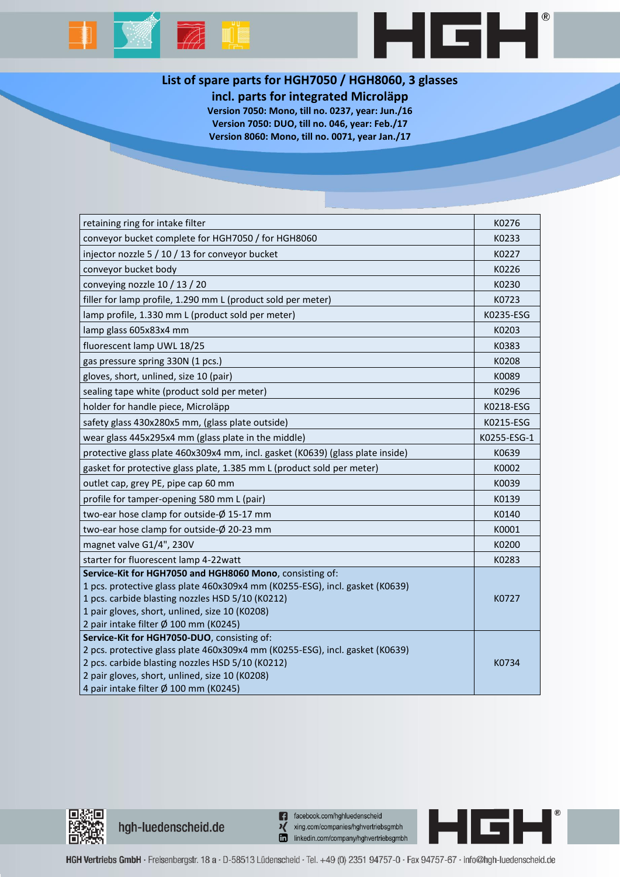



## **List of spare parts for HGH7050 / HGH8060, 3 glasses**

**incl. parts for integrated Microläpp**

**Version 7050: Mono, till no. 0237, year: Jun./16 Version 7050: DUO, till no. 046, year: Feb./17 Version 8060: Mono, till no. 0071, year Jan./17**

| retaining ring for intake filter                                               | K0276       |
|--------------------------------------------------------------------------------|-------------|
| conveyor bucket complete for HGH7050 / for HGH8060                             | K0233       |
| injector nozzle 5 / 10 / 13 for conveyor bucket                                | K0227       |
| conveyor bucket body                                                           | K0226       |
| conveying nozzle 10 / 13 / 20                                                  | K0230       |
| filler for lamp profile, 1.290 mm L (product sold per meter)                   | K0723       |
| lamp profile, 1.330 mm L (product sold per meter)                              | K0235-ESG   |
| lamp glass 605x83x4 mm                                                         | K0203       |
| fluorescent lamp UWL 18/25                                                     | K0383       |
| gas pressure spring 330N (1 pcs.)                                              | K0208       |
| gloves, short, unlined, size 10 (pair)                                         | K0089       |
| sealing tape white (product sold per meter)                                    | K0296       |
| holder for handle piece, Microläpp                                             | K0218-ESG   |
| safety glass 430x280x5 mm, (glass plate outside)                               | K0215-ESG   |
| wear glass 445x295x4 mm (glass plate in the middle)                            | K0255-ESG-1 |
| protective glass plate 460x309x4 mm, incl. gasket (K0639) (glass plate inside) | K0639       |
| gasket for protective glass plate, 1.385 mm L (product sold per meter)         | K0002       |
| outlet cap, grey PE, pipe cap 60 mm                                            | K0039       |
| profile for tamper-opening 580 mm L (pair)                                     | K0139       |
| two-ear hose clamp for outside-Ø 15-17 mm                                      | K0140       |
| two-ear hose clamp for outside-Ø 20-23 mm                                      | K0001       |
| magnet valve G1/4", 230V                                                       | K0200       |
| starter for fluorescent lamp 4-22 watt                                         | K0283       |
| Service-Kit for HGH7050 and HGH8060 Mono, consisting of:                       |             |
| 1 pcs. protective glass plate 460x309x4 mm (K0255-ESG), incl. gasket (K0639)   |             |
| 1 pcs. carbide blasting nozzles HSD 5/10 (K0212)                               | K0727       |
| 1 pair gloves, short, unlined, size 10 (K0208)                                 |             |
| 2 pair intake filter Ø 100 mm (K0245)                                          |             |
| Service-Kit for HGH7050-DUO, consisting of:                                    |             |
| 2 pcs. protective glass plate 460x309x4 mm (K0255-ESG), incl. gasket (K0639)   |             |
| 2 pcs. carbide blasting nozzles HSD 5/10 (K0212)                               | K0734       |
| 2 pair gloves, short, unlined, size 10 (K0208)                                 |             |
| 4 pair intake filter Ø 100 mm (K0245)                                          |             |
|                                                                                |             |



hgh-luedenscheid.de